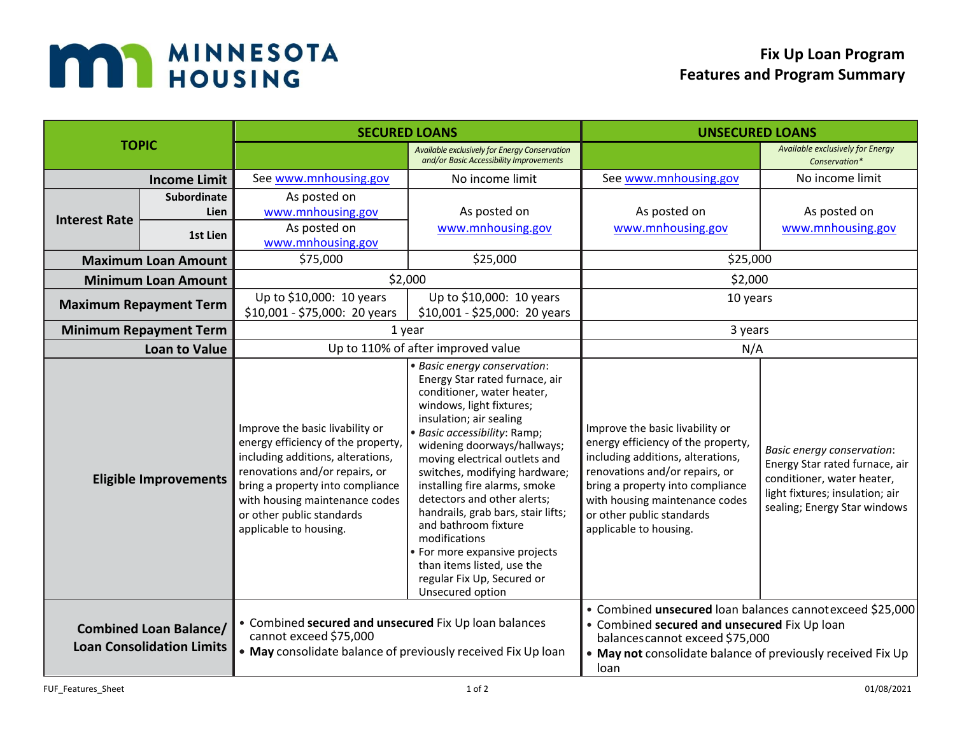

| <b>TOPIC</b>                  |                                                                                                                                                                                                                      | <b>SECURED LOANS</b>                                                                                                                                                                                                                                                      |                                                                                                                                                                                                                                                                                                                                                                                                                                                                                                                                                      | <b>UNSECURED LOANS</b>                                                                                                                                                                                                                                                    |                                                                                                                                                                      |
|-------------------------------|----------------------------------------------------------------------------------------------------------------------------------------------------------------------------------------------------------------------|---------------------------------------------------------------------------------------------------------------------------------------------------------------------------------------------------------------------------------------------------------------------------|------------------------------------------------------------------------------------------------------------------------------------------------------------------------------------------------------------------------------------------------------------------------------------------------------------------------------------------------------------------------------------------------------------------------------------------------------------------------------------------------------------------------------------------------------|---------------------------------------------------------------------------------------------------------------------------------------------------------------------------------------------------------------------------------------------------------------------------|----------------------------------------------------------------------------------------------------------------------------------------------------------------------|
|                               |                                                                                                                                                                                                                      |                                                                                                                                                                                                                                                                           | Available exclusively for Energy Conservation<br>and/or Basic Accessibility Improvements                                                                                                                                                                                                                                                                                                                                                                                                                                                             |                                                                                                                                                                                                                                                                           | Available exclusively for Energy<br>Conservation*                                                                                                                    |
| <b>Income Limit</b>           |                                                                                                                                                                                                                      | See www.mnhousing.gov                                                                                                                                                                                                                                                     | No income limit                                                                                                                                                                                                                                                                                                                                                                                                                                                                                                                                      | See www.mnhousing.gov                                                                                                                                                                                                                                                     | No income limit                                                                                                                                                      |
| <b>Interest Rate</b>          | <b>Subordinate</b><br>Lien<br>1st Lien                                                                                                                                                                               | As posted on<br>www.mnhousing.gov<br>As posted on<br>www.mnhousing.gov                                                                                                                                                                                                    | As posted on<br>www.mnhousing.gov                                                                                                                                                                                                                                                                                                                                                                                                                                                                                                                    | As posted on<br>www.mnhousing.gov                                                                                                                                                                                                                                         | As posted on<br>www.mnhousing.gov                                                                                                                                    |
| <b>Maximum Loan Amount</b>    |                                                                                                                                                                                                                      | \$75,000                                                                                                                                                                                                                                                                  | \$25,000                                                                                                                                                                                                                                                                                                                                                                                                                                                                                                                                             | \$25,000                                                                                                                                                                                                                                                                  |                                                                                                                                                                      |
| <b>Minimum Loan Amount</b>    |                                                                                                                                                                                                                      | \$2,000                                                                                                                                                                                                                                                                   |                                                                                                                                                                                                                                                                                                                                                                                                                                                                                                                                                      | \$2,000                                                                                                                                                                                                                                                                   |                                                                                                                                                                      |
| <b>Maximum Repayment Term</b> |                                                                                                                                                                                                                      | Up to \$10,000: 10 years<br>\$10,001 - \$75,000: 20 years                                                                                                                                                                                                                 | Up to \$10,000: 10 years<br>\$10,001 - \$25,000: 20 years                                                                                                                                                                                                                                                                                                                                                                                                                                                                                            | 10 years                                                                                                                                                                                                                                                                  |                                                                                                                                                                      |
| <b>Minimum Repayment Term</b> |                                                                                                                                                                                                                      | 1 year                                                                                                                                                                                                                                                                    |                                                                                                                                                                                                                                                                                                                                                                                                                                                                                                                                                      | 3 years                                                                                                                                                                                                                                                                   |                                                                                                                                                                      |
| <b>Loan to Value</b>          |                                                                                                                                                                                                                      | Up to 110% of after improved value                                                                                                                                                                                                                                        |                                                                                                                                                                                                                                                                                                                                                                                                                                                                                                                                                      | N/A                                                                                                                                                                                                                                                                       |                                                                                                                                                                      |
|                               | <b>Eligible Improvements</b>                                                                                                                                                                                         | Improve the basic livability or<br>energy efficiency of the property,<br>including additions, alterations,<br>renovations and/or repairs, or<br>bring a property into compliance<br>with housing maintenance codes<br>or other public standards<br>applicable to housing. | · Basic energy conservation:<br>Energy Star rated furnace, air<br>conditioner, water heater,<br>windows, light fixtures;<br>insulation; air sealing<br>· Basic accessibility: Ramp;<br>widening doorways/hallways;<br>moving electrical outlets and<br>switches, modifying hardware;<br>installing fire alarms, smoke<br>detectors and other alerts;<br>handrails, grab bars, stair lifts;<br>and bathroom fixture<br>modifications<br>• For more expansive projects<br>than items listed, use the<br>regular Fix Up, Secured or<br>Unsecured option | Improve the basic livability or<br>energy efficiency of the property,<br>including additions, alterations,<br>renovations and/or repairs, or<br>bring a property into compliance<br>with housing maintenance codes<br>or other public standards<br>applicable to housing. | <b>Basic energy conservation:</b><br>Energy Star rated furnace, air<br>conditioner, water heater,<br>light fixtures; insulation; air<br>sealing; Energy Star windows |
|                               | • Combined secured and unsecured Fix Up loan balances<br><b>Combined Loan Balance/</b><br>cannot exceed \$75,000<br><b>Loan Consolidation Limits</b><br>• May consolidate balance of previously received Fix Up loan |                                                                                                                                                                                                                                                                           | • Combined unsecured loan balances cannot exceed \$25,000<br>• Combined secured and unsecured Fix Up loan<br>balances cannot exceed \$75,000<br>. May not consolidate balance of previously received Fix Up<br>loan                                                                                                                                                                                                                                                                                                                                  |                                                                                                                                                                                                                                                                           |                                                                                                                                                                      |